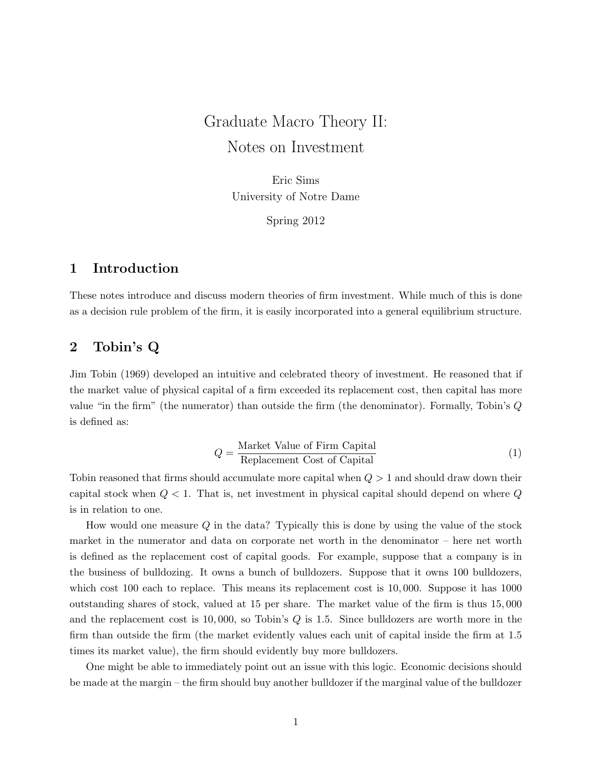# Graduate Macro Theory II: Notes on Investment

Eric Sims University of Notre Dame

Spring 2012

## 1 Introduction

These notes introduce and discuss modern theories of firm investment. While much of this is done as a decision rule problem of the firm, it is easily incorporated into a general equilibrium structure.

## 2 Tobin's Q

Jim Tobin (1969) developed an intuitive and celebrated theory of investment. He reasoned that if the market value of physical capital of a firm exceeded its replacement cost, then capital has more value "in the firm" (the numerator) than outside the firm (the denominator). Formally, Tobin's Q is defined as:

$$
Q = \frac{\text{Market Value of Firm Capital}}{\text{Replacement Cost of Capital}} \tag{1}
$$

Tobin reasoned that firms should accumulate more capital when  $Q > 1$  and should draw down their capital stock when  $Q < 1$ . That is, net investment in physical capital should depend on where  $Q$ is in relation to one.

How would one measure Q in the data? Typically this is done by using the value of the stock market in the numerator and data on corporate net worth in the denominator – here net worth is defined as the replacement cost of capital goods. For example, suppose that a company is in the business of bulldozing. It owns a bunch of bulldozers. Suppose that it owns 100 bulldozers, which cost 100 each to replace. This means its replacement cost is 10,000. Suppose it has 1000 outstanding shares of stock, valued at 15 per share. The market value of the firm is thus 15, 000 and the replacement cost is 10, 000, so Tobin's Q is 1.5. Since bulldozers are worth more in the firm than outside the firm (the market evidently values each unit of capital inside the firm at 1.5 times its market value), the firm should evidently buy more bulldozers.

One might be able to immediately point out an issue with this logic. Economic decisions should be made at the margin – the firm should buy another bulldozer if the marginal value of the bulldozer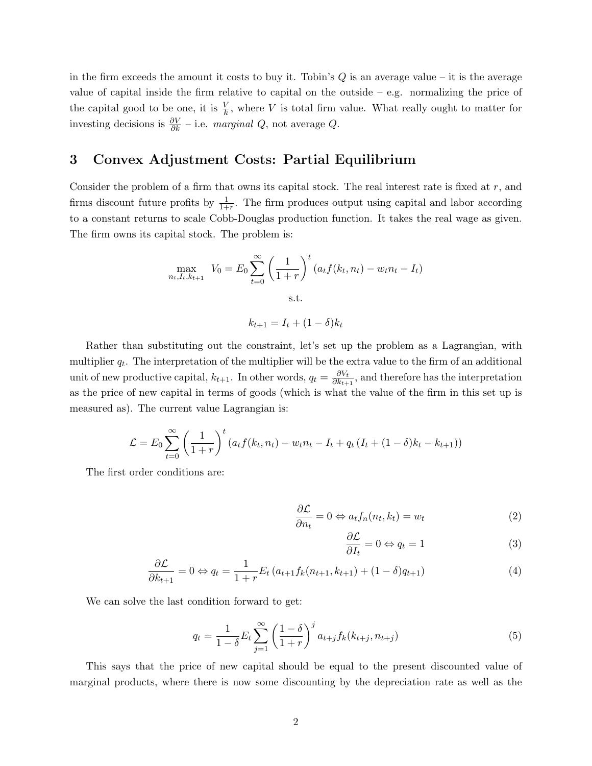in the firm exceeds the amount it costs to buy it. Tobin's  $Q$  is an average value – it is the average value of capital inside the firm relative to capital on the outside  $-$  e.g. normalizing the price of the capital good to be one, it is  $\frac{V}{k}$ , where V is total firm value. What really ought to matter for investing decisions is  $\frac{\partial V}{\partial k}$  – i.e. marginal Q, not average Q.

# 3 Convex Adjustment Costs: Partial Equilibrium

Consider the problem of a firm that owns its capital stock. The real interest rate is fixed at  $r$ , and firms discount future profits by  $\frac{1}{1+r}$ . The firm produces output using capital and labor according to a constant returns to scale Cobb-Douglas production function. It takes the real wage as given. The firm owns its capital stock. The problem is:

$$
\max_{n_t, I_t, k_{t+1}} V_0 = E_0 \sum_{t=0}^{\infty} \left( \frac{1}{1+r} \right)^t (a_t f(k_t, n_t) - w_t n_t - I_t)
$$
  
s.t.  

$$
k_{t+1} = I_t + (1-\delta) k_t
$$

Rather than substituting out the constraint, let's set up the problem as a Lagrangian, with multiplier  $q_t$ . The interpretation of the multiplier will be the extra value to the firm of an additional unit of new productive capital,  $k_{t+1}$ . In other words,  $q_t = \frac{\partial V_t}{\partial k_{t+1}}$  $\frac{\partial V_t}{\partial k_{t+1}}$ , and therefore has the interpretation as the price of new capital in terms of goods (which is what the value of the firm in this set up is measured as). The current value Lagrangian is:

$$
\mathcal{L} = E_0 \sum_{t=0}^{\infty} \left( \frac{1}{1+r} \right)^t (a_t f(k_t, n_t) - w_t n_t - I_t + q_t (I_t + (1-\delta)k_t - k_{t+1}))
$$

The first order conditions are:

$$
\frac{\partial \mathcal{L}}{\partial n_t} = 0 \Leftrightarrow a_t f_n(n_t, k_t) = w_t \tag{2}
$$

$$
\frac{\partial \mathcal{L}}{\partial I_t} = 0 \Leftrightarrow q_t = 1 \tag{3}
$$

$$
\frac{\partial \mathcal{L}}{\partial k_{t+1}} = 0 \Leftrightarrow q_t = \frac{1}{1+r} E_t \left( a_{t+1} f_k(n_{t+1}, k_{t+1}) + (1-\delta) q_{t+1} \right) \tag{4}
$$

We can solve the last condition forward to get:

$$
q_t = \frac{1}{1-\delta} E_t \sum_{j=1}^{\infty} \left(\frac{1-\delta}{1+r}\right)^j a_{t+j} f_k(k_{t+j}, n_{t+j})
$$
(5)

This says that the price of new capital should be equal to the present discounted value of marginal products, where there is now some discounting by the depreciation rate as well as the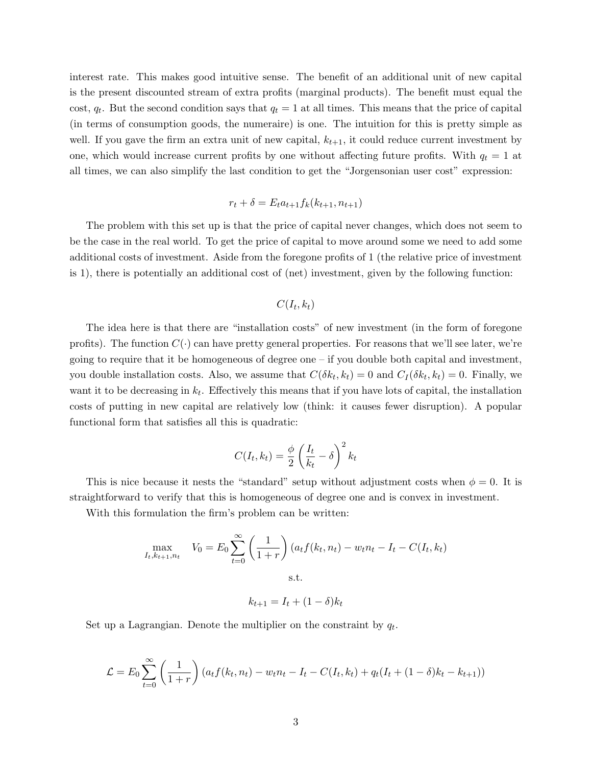interest rate. This makes good intuitive sense. The benefit of an additional unit of new capital is the present discounted stream of extra profits (marginal products). The benefit must equal the cost,  $q_t$ . But the second condition says that  $q_t = 1$  at all times. This means that the price of capital (in terms of consumption goods, the numeraire) is one. The intuition for this is pretty simple as well. If you gave the firm an extra unit of new capital,  $k_{t+1}$ , it could reduce current investment by one, which would increase current profits by one without affecting future profits. With  $q_t = 1$  at all times, we can also simplify the last condition to get the "Jorgensonian user cost" expression:

$$
r_t + \delta = E_t a_{t+1} f_k(k_{t+1}, n_{t+1})
$$

The problem with this set up is that the price of capital never changes, which does not seem to be the case in the real world. To get the price of capital to move around some we need to add some additional costs of investment. Aside from the foregone profits of 1 (the relative price of investment is 1), there is potentially an additional cost of (net) investment, given by the following function:

### $C(I_t,k_t)$

The idea here is that there are "installation costs" of new investment (in the form of foregone profits). The function  $C(\cdot)$  can have pretty general properties. For reasons that we'll see later, we're going to require that it be homogeneous of degree one  $-$  if you double both capital and investment, you double installation costs. Also, we assume that  $C(\delta k_t, k_t) = 0$  and  $C_I(\delta k_t, k_t) = 0$ . Finally, we want it to be decreasing in  $k_t$ . Effectively this means that if you have lots of capital, the installation costs of putting in new capital are relatively low (think: it causes fewer disruption). A popular functional form that satisfies all this is quadratic:

$$
C(I_t, k_t) = \frac{\phi}{2} \left( \frac{I_t}{k_t} - \delta \right)^2 k_t
$$

This is nice because it nests the "standard" setup without adjustment costs when  $\phi = 0$ . It is straightforward to verify that this is homogeneous of degree one and is convex in investment.

With this formulation the firm's problem can be written:

$$
\max_{I_t, k_{t+1}, n_t} V_0 = E_0 \sum_{t=0}^{\infty} \left( \frac{1}{1+r} \right) (a_t f(k_t, n_t) - w_t n_t - I_t - C(I_t, k_t)
$$
  
s.t.  

$$
k_{t+1} = I_t + (1-\delta) k_t
$$

Set up a Lagrangian. Denote the multiplier on the constraint by  $q_t$ .

$$
\mathcal{L} = E_0 \sum_{t=0}^{\infty} \left( \frac{1}{1+r} \right) \left( a_t f(k_t, n_t) - w_t n_t - I_t - C(I_t, k_t) + q_t (I_t + (1-\delta)k_t - k_{t+1}) \right)
$$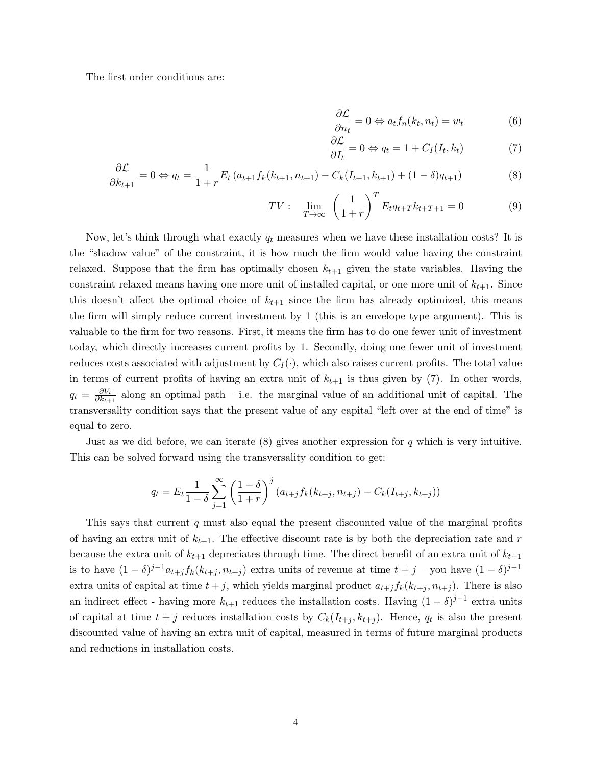The first order conditions are:

$$
\frac{\partial \mathcal{L}}{\partial n_t} = 0 \Leftrightarrow a_t f_n(k_t, n_t) = w_t \tag{6}
$$

$$
\frac{\partial \mathcal{L}}{\partial I_t} = 0 \Leftrightarrow q_t = 1 + C_I(I_t, k_t)
$$
\n(7)

$$
\frac{\partial \mathcal{L}}{\partial k_{t+1}} = 0 \Leftrightarrow q_t = \frac{1}{1+r} E_t \left( a_{t+1} f_k(k_{t+1}, n_{t+1}) - C_k(I_{t+1}, k_{t+1}) + (1-\delta) q_{t+1} \right) \tag{8}
$$

$$
TV: \lim_{T \to \infty} \left( \frac{1}{1+r} \right)^T E_t q_{t+T} k_{t+T+1} = 0 \tag{9}
$$

Now, let's think through what exactly  $q_t$  measures when we have these installation costs? It is the "shadow value" of the constraint, it is how much the firm would value having the constraint relaxed. Suppose that the firm has optimally chosen  $k_{t+1}$  given the state variables. Having the constraint relaxed means having one more unit of installed capital, or one more unit of  $k_{t+1}$ . Since this doesn't affect the optimal choice of  $k_{t+1}$  since the firm has already optimized, this means the firm will simply reduce current investment by 1 (this is an envelope type argument). This is valuable to the firm for two reasons. First, it means the firm has to do one fewer unit of investment today, which directly increases current profits by 1. Secondly, doing one fewer unit of investment reduces costs associated with adjustment by  $C_I(\cdot)$ , which also raises current profits. The total value in terms of current profits of having an extra unit of  $k_{t+1}$  is thus given by (7). In other words,  $q_t = \frac{\partial V_t}{\partial k_{t+1}}$  $\frac{\partial V_t}{\partial k_{t+1}}$  along an optimal path – i.e. the marginal value of an additional unit of capital. The transversality condition says that the present value of any capital "left over at the end of time" is equal to zero.

Just as we did before, we can iterate  $(8)$  gives another expression for q which is very intuitive. This can be solved forward using the transversality condition to get:

$$
q_t = E_t \frac{1}{1 - \delta} \sum_{j=1}^{\infty} \left( \frac{1 - \delta}{1 + r} \right)^j (a_{t+j} f_k(k_{t+j}, n_{t+j}) - C_k(I_{t+j}, k_{t+j}))
$$

This says that current q must also equal the present discounted value of the marginal profits of having an extra unit of  $k_{t+1}$ . The effective discount rate is by both the depreciation rate and r because the extra unit of  $k_{t+1}$  depreciates through time. The direct benefit of an extra unit of  $k_{t+1}$ is to have  $(1 - \delta)^{j-1} a_{t+j} f_k(k_{t+j}, n_{t+j})$  extra units of revenue at time  $t+j$  – you have  $(1 - \delta)^{j-1}$ extra units of capital at time  $t + j$ , which yields marginal product  $a_{t+j}f_k(k_{t+j}, n_{t+j})$ . There is also an indirect effect - having more  $k_{t+1}$  reduces the installation costs. Having  $(1 - \delta)^{j-1}$  extra units of capital at time  $t + j$  reduces installation costs by  $C_k(I_{t+j}, k_{t+j})$ . Hence,  $q_t$  is also the present discounted value of having an extra unit of capital, measured in terms of future marginal products and reductions in installation costs.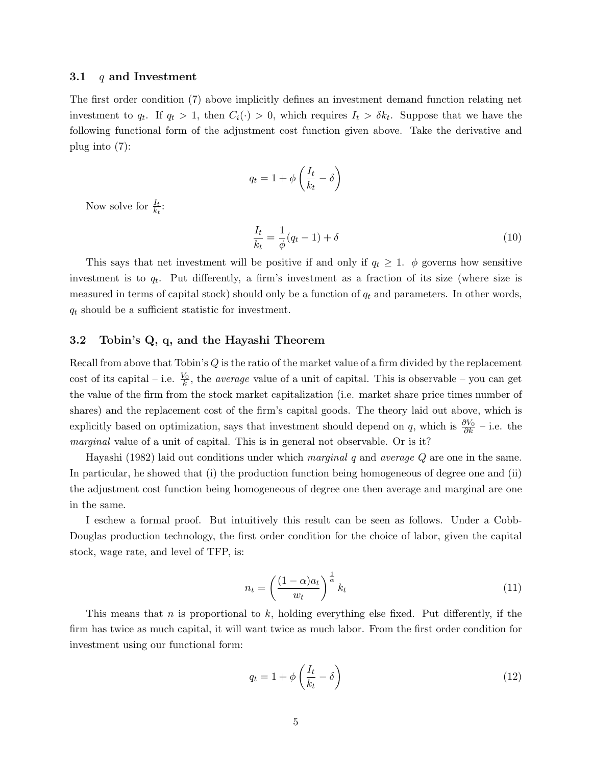#### 3.1  $q$  and Investment

The first order condition (7) above implicitly defines an investment demand function relating net investment to  $q_t$ . If  $q_t > 1$ , then  $C_i(\cdot) > 0$ , which requires  $I_t > \delta k_t$ . Suppose that we have the following functional form of the adjustment cost function given above. Take the derivative and plug into (7):

$$
q_t = 1 + \phi \left(\frac{I_t}{k_t} - \delta\right)
$$

Now solve for  $\frac{I_t}{k_t}$ :

$$
\frac{I_t}{k_t} = \frac{1}{\phi}(q_t - 1) + \delta \tag{10}
$$

This says that net investment will be positive if and only if  $q_t \geq 1$ .  $\phi$  governs how sensitive investment is to  $q_t$ . Put differently, a firm's investment as a fraction of its size (where size is measured in terms of capital stock) should only be a function of  $q_t$  and parameters. In other words,  $q_t$  should be a sufficient statistic for investment.

## 3.2 Tobin's Q, q, and the Hayashi Theorem

Recall from above that Tobin's  $Q$  is the ratio of the market value of a firm divided by the replacement cost of its capital – i.e.  $\frac{V_0}{k}$ , the *average* value of a unit of capital. This is observable – you can get the value of the firm from the stock market capitalization (i.e. market share price times number of shares) and the replacement cost of the firm's capital goods. The theory laid out above, which is explicitly based on optimization, says that investment should depend on q, which is  $\frac{\partial V_0}{\partial k}$  – i.e. the marginal value of a unit of capital. This is in general not observable. Or is it?

Hayashi (1982) laid out conditions under which marginal q and average Q are one in the same. In particular, he showed that (i) the production function being homogeneous of degree one and (ii) the adjustment cost function being homogeneous of degree one then average and marginal are one in the same.

I eschew a formal proof. But intuitively this result can be seen as follows. Under a Cobb-Douglas production technology, the first order condition for the choice of labor, given the capital stock, wage rate, and level of TFP, is:

$$
n_t = \left(\frac{(1-\alpha)a_t}{w_t}\right)^{\frac{1}{\alpha}} k_t
$$
\n(11)

This means that n is proportional to  $k$ , holding everything else fixed. Put differently, if the firm has twice as much capital, it will want twice as much labor. From the first order condition for investment using our functional form:

$$
q_t = 1 + \phi \left(\frac{I_t}{k_t} - \delta\right) \tag{12}
$$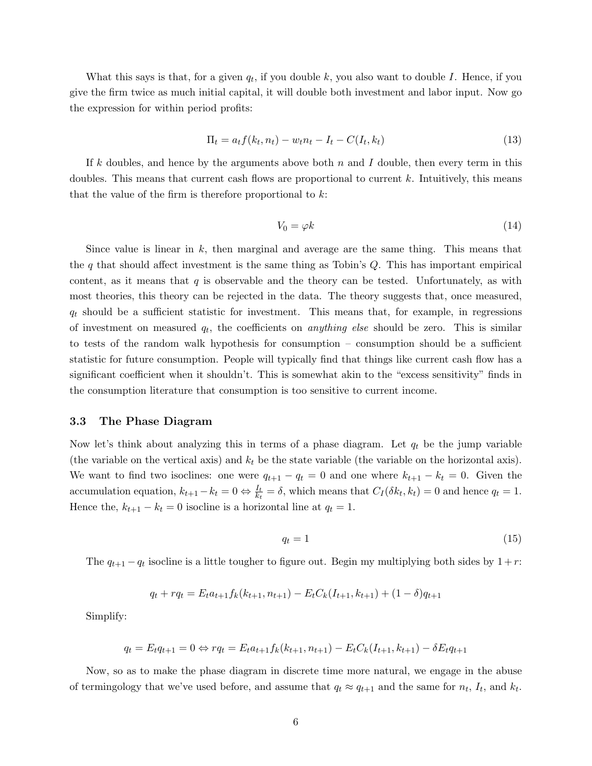What this says is that, for a given  $q_t$ , if you double k, you also want to double I. Hence, if you give the firm twice as much initial capital, it will double both investment and labor input. Now go the expression for within period profits:

$$
\Pi_t = a_t f(k_t, n_t) - w_t n_t - I_t - C(I_t, k_t)
$$
\n(13)

If k doubles, and hence by the arguments above both  $n$  and  $I$  double, then every term in this doubles. This means that current cash flows are proportional to current  $k$ . Intuitively, this means that the value of the firm is therefore proportional to  $k$ :

$$
V_0 = \varphi k \tag{14}
$$

Since value is linear in  $k$ , then marginal and average are the same thing. This means that the q that should affect investment is the same thing as Tobin's  $Q$ . This has important empirical content, as it means that  $q$  is observable and the theory can be tested. Unfortunately, as with most theories, this theory can be rejected in the data. The theory suggests that, once measured,  $q_t$  should be a sufficient statistic for investment. This means that, for example, in regressions of investment on measured  $q_t$ , the coefficients on *anything else* should be zero. This is similar to tests of the random walk hypothesis for consumption – consumption should be a sufficient statistic for future consumption. People will typically find that things like current cash flow has a significant coefficient when it shouldn't. This is somewhat akin to the "excess sensitivity" finds in the consumption literature that consumption is too sensitive to current income.

#### 3.3 The Phase Diagram

Now let's think about analyzing this in terms of a phase diagram. Let  $q_t$  be the jump variable (the variable on the vertical axis) and  $k_t$  be the state variable (the variable on the horizontal axis). We want to find two isoclines: one were  $q_{t+1} - q_t = 0$  and one where  $k_{t+1} - k_t = 0$ . Given the accumulation equation,  $k_{t+1} - k_t = 0 \Leftrightarrow \frac{I_t}{k_t} = \delta$ , which means that  $C_I(\delta k_t, k_t) = 0$  and hence  $q_t = 1$ . Hence the,  $k_{t+1} - k_t = 0$  isocline is a horizontal line at  $q_t = 1$ .

$$
q_t = 1 \tag{15}
$$

The  $q_{t+1} - q_t$  isocline is a little tougher to figure out. Begin my multiplying both sides by  $1 + r$ :

$$
q_t + rq_t = E_t a_{t+1} f_k(k_{t+1}, n_{t+1}) - E_t C_k(I_{t+1}, k_{t+1}) + (1 - \delta) q_{t+1}
$$

Simplify:

$$
q_t = E_t q_{t+1} = 0 \Leftrightarrow r q_t = E_t a_{t+1} f_k(k_{t+1}, n_{t+1}) - E_t C_k(I_{t+1}, k_{t+1}) - \delta E_t q_{t+1}
$$

Now, so as to make the phase diagram in discrete time more natural, we engage in the abuse of termingology that we've used before, and assume that  $q_t \approx q_{t+1}$  and the same for  $n_t$ ,  $I_t$ , and  $k_t$ .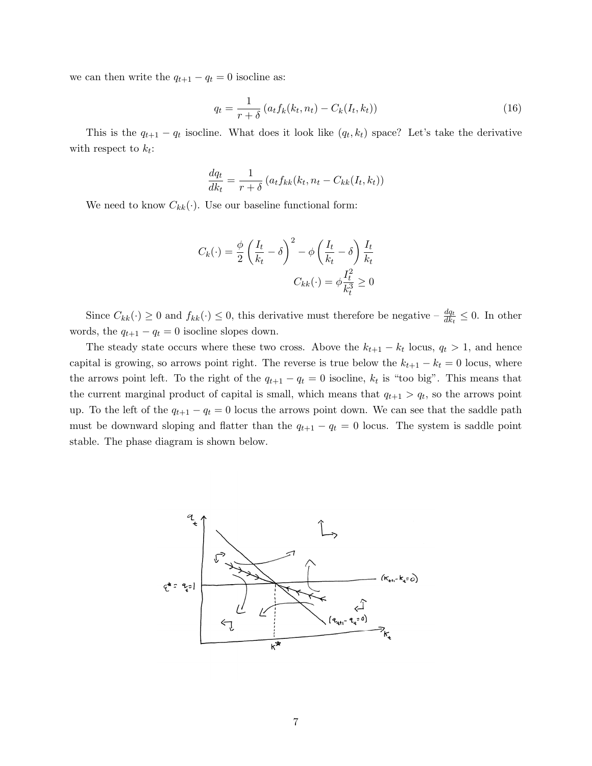we can then write the  $q_{t+1} - q_t = 0$  isocline as:

$$
q_t = \frac{1}{r+\delta} \left( a_t f_k(k_t, n_t) - C_k(I_t, k_t) \right) \tag{16}
$$

This is the  $q_{t+1} - q_t$  isocline. What does it look like  $(q_t, k_t)$  space? Let's take the derivative with respect to  $k_t$ :

$$
\frac{dq_t}{dk_t} = \frac{1}{r+\delta} \left( a_t f_{kk}(k_t, n_t - C_{kk}(I_t, k_t)) \right)
$$

We need to know  $C_{kk}(\cdot)$ . Use our baseline functional form:

$$
C_k(\cdot) = \frac{\phi}{2} \left( \frac{I_t}{k_t} - \delta \right)^2 - \phi \left( \frac{I_t}{k_t} - \delta \right) \frac{I_t}{k_t}
$$

$$
C_{kk}(\cdot) = \phi \frac{I_t^2}{k_t^3} \ge 0
$$

Since  $C_{kk}(\cdot) \ge 0$  and  $f_{kk}(\cdot) \le 0$ , this derivative must therefore be negative  $-\frac{dq_t}{dk_t} \le 0$ . In other words, the  $q_{t+1} - q_t = 0$  isocline slopes down.

The steady state occurs where these two cross. Above the  $k_{t+1} - k_t$  locus,  $q_t > 1$ , and hence capital is growing, so arrows point right. The reverse is true below the  $k_{t+1} - k_t = 0$  locus, where the arrows point left. To the right of the  $q_{t+1} - q_t = 0$  isocline,  $k_t$  is "too big". This means that the current marginal product of capital is small, which means that  $q_{t+1} > q_t$ , so the arrows point up. To the left of the  $q_{t+1} - q_t = 0$  locus the arrows point down. We can see that the saddle path must be downward sloping and flatter than the  $q_{t+1} - q_t = 0$  locus. The system is saddle point stable. The phase diagram is shown below.

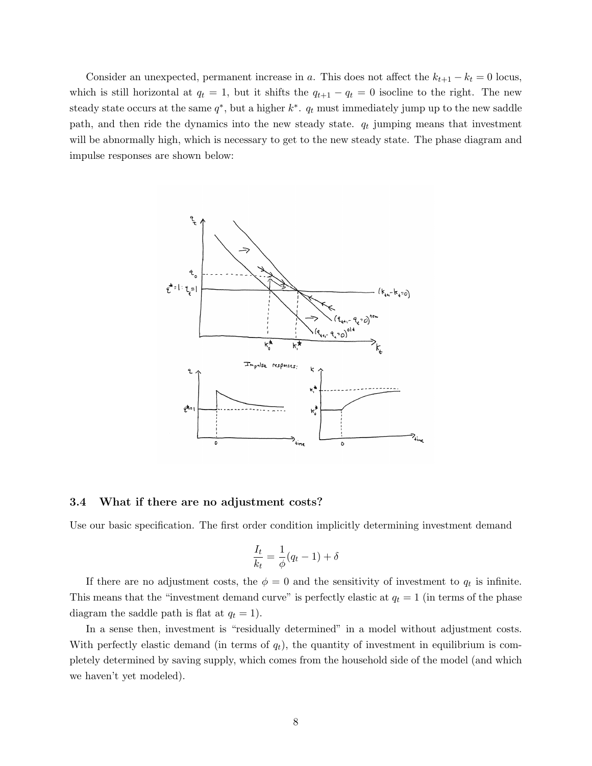Consider an unexpected, permanent increase in a. This does not affect the  $k_{t+1} - k_t = 0$  locus, which is still horizontal at  $q_t = 1$ , but it shifts the  $q_{t+1} - q_t = 0$  isocline to the right. The new steady state occurs at the same  $q^*$ , but a higher  $k^*$ .  $q_t$  must immediately jump up to the new saddle path, and then ride the dynamics into the new steady state.  $q_t$  jumping means that investment will be abnormally high, which is necessary to get to the new steady state. The phase diagram and impulse responses are shown below:



#### 3.4 What if there are no adjustment costs?

Use our basic specification. The first order condition implicitly determining investment demand

$$
\frac{I_t}{k_t} = \frac{1}{\phi}(q_t - 1) + \delta
$$

If there are no adjustment costs, the  $\phi = 0$  and the sensitivity of investment to  $q_t$  is infinite. This means that the "investment demand curve" is perfectly elastic at  $q_t = 1$  (in terms of the phase diagram the saddle path is flat at  $q_t = 1$ .

In a sense then, investment is "residually determined" in a model without adjustment costs. With perfectly elastic demand (in terms of  $q_t$ ), the quantity of investment in equilibrium is completely determined by saving supply, which comes from the household side of the model (and which we haven't yet modeled).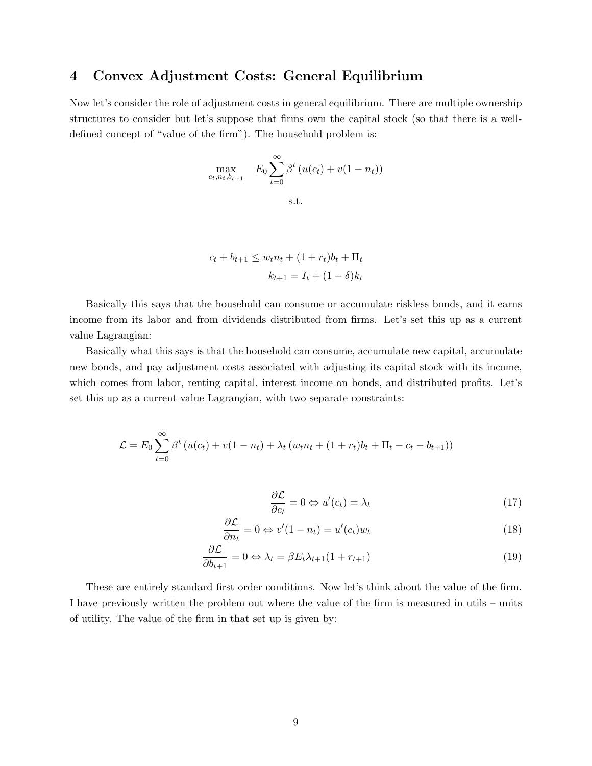## 4 Convex Adjustment Costs: General Equilibrium

Now let's consider the role of adjustment costs in general equilibrium. There are multiple ownership structures to consider but let's suppose that firms own the capital stock (so that there is a welldefined concept of "value of the firm"). The household problem is:

$$
\max_{c_t, n_t, b_{t+1}} E_0 \sum_{t=0}^{\infty} \beta^t (u(c_t) + v(1 - n_t))
$$
  
s.t.

$$
c_t + b_{t+1} \le w_t n_t + (1 + r_t) b_t + \Pi_t
$$

$$
k_{t+1} = I_t + (1 - \delta) k_t
$$

Basically this says that the household can consume or accumulate riskless bonds, and it earns income from its labor and from dividends distributed from firms. Let's set this up as a current value Lagrangian:

Basically what this says is that the household can consume, accumulate new capital, accumulate new bonds, and pay adjustment costs associated with adjusting its capital stock with its income, which comes from labor, renting capital, interest income on bonds, and distributed profits. Let's set this up as a current value Lagrangian, with two separate constraints:

$$
\mathcal{L} = E_0 \sum_{t=0}^{\infty} \beta^t \left( u(c_t) + v(1 - n_t) + \lambda_t \left( w_t n_t + (1 + r_t) b_t + \Pi_t - c_t - b_{t+1} \right) \right)
$$

$$
\frac{\partial \mathcal{L}}{\partial c_t} = 0 \Leftrightarrow u'(c_t) = \lambda_t \tag{17}
$$

$$
\frac{\partial \mathcal{L}}{\partial n_t} = 0 \Leftrightarrow v'(1 - n_t) = u'(c_t)w_t \tag{18}
$$

$$
\frac{\partial \mathcal{L}}{\partial b_{t+1}} = 0 \Leftrightarrow \lambda_t = \beta E_t \lambda_{t+1} (1 + r_{t+1}) \tag{19}
$$

These are entirely standard first order conditions. Now let's think about the value of the firm. I have previously written the problem out where the value of the firm is measured in utils – units of utility. The value of the firm in that set up is given by: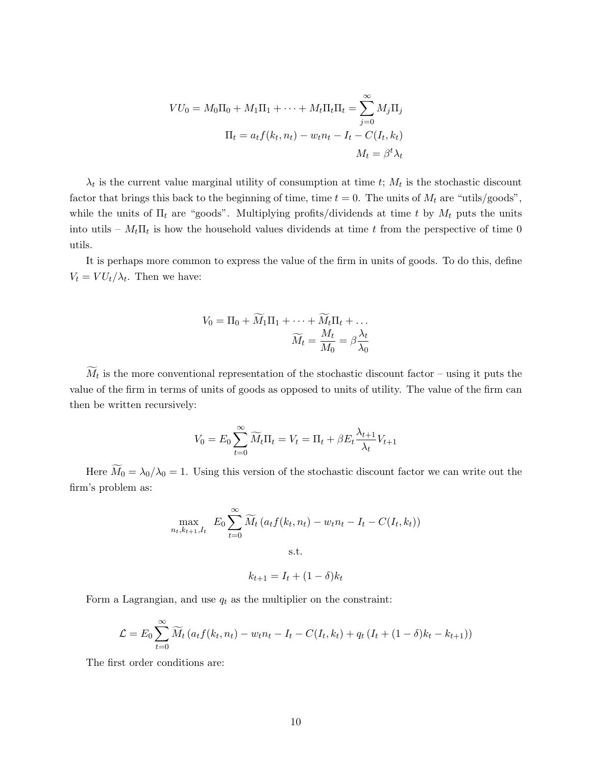$$
VU_0 = M_0\Pi_0 + M_1\Pi_1 + \dots + M_t\Pi_t\Pi_t = \sum_{j=0}^{\infty} M_j\Pi_j
$$

$$
\Pi_t = a_t f(k_t, n_t) - w_t n_t - I_t - C(I_t, k_t)
$$

$$
M_t = \beta^t \lambda_t
$$

 $\lambda_t$  is the current value marginal utility of consumption at time t;  $M_t$  is the stochastic discount factor that brings this back to the beginning of time, time  $t = 0$ . The units of  $M_t$  are "utils/goods", while the units of  $\Pi_t$  are "goods". Multiplying profits/dividends at time t by  $M_t$  puts the units into utils –  $M_t \Pi_t$  is how the household values dividends at time t from the perspective of time 0 utils.

It is perhaps more common to express the value of the firm in units of goods. To do this, define  $V_t = V U_t / \lambda_t$ . Then we have:

$$
V_0 = \Pi_0 + \widetilde{M}_1 \Pi_1 + \dots + \widetilde{M}_t \Pi_t + \dots
$$

$$
\widetilde{M}_t = \frac{M_t}{M_0} = \beta \frac{\lambda_t}{\lambda_0}
$$

 $M_t$  is the more conventional representation of the stochastic discount factor – using it puts the value of the firm in terms of units of goods as opposed to units of utility. The value of the firm can then be written recursively:

$$
V_0 = E_0 \sum_{t=0}^{\infty} \widetilde{M}_t \Pi_t = V_t = \Pi_t + \beta E_t \frac{\lambda_{t+1}}{\lambda_t} V_{t+1}
$$

Here  $\widetilde{M}_0 = \lambda_0/\lambda_0 = 1$ . Using this version of the stochastic discount factor we can write out the firm's problem as:

$$
\max_{n_t, k_{t+1}, I_t} E_0 \sum_{t=0}^{\infty} \widetilde{M}_t \left( a_t f(k_t, n_t) - w_t n_t - I_t - C(I_t, k_t) \right)
$$
  
s.t.

$$
k_{t+1} = I_t + (1 - \delta)k_t
$$

Form a Lagrangian, and use  $q_t$  as the multiplier on the constraint:

$$
\mathcal{L} = E_0 \sum_{t=0}^{\infty} \widetilde{M}_t \left( a_t f(k_t, n_t) - w_t n_t - I_t - C(I_t, k_t) + q_t (I_t + (1 - \delta) k_t - k_{t+1}) \right)
$$

The first order conditions are: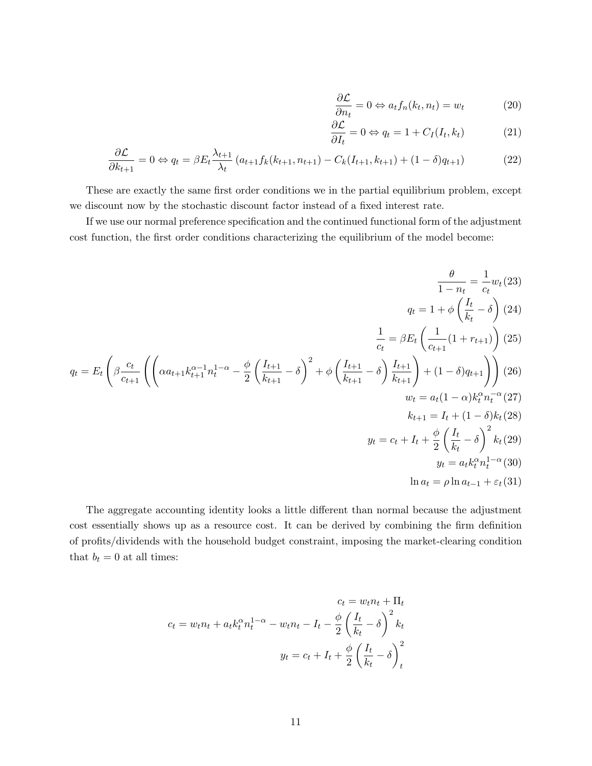$$
\frac{\partial \mathcal{L}}{\partial n_t} = 0 \Leftrightarrow a_t f_n(k_t, n_t) = w_t \tag{20}
$$

$$
\frac{\partial \mathcal{L}}{\partial I_t} = 0 \Leftrightarrow q_t = 1 + C_I(I_t, k_t)
$$
 (21)

$$
\frac{\partial \mathcal{L}}{\partial k_{t+1}} = 0 \Leftrightarrow q_t = \beta E_t \frac{\lambda_{t+1}}{\lambda_t} \left( a_{t+1} f_k(k_{t+1}, n_{t+1}) - C_k(I_{t+1}, k_{t+1}) + (1 - \delta) q_{t+1} \right) \tag{22}
$$

These are exactly the same first order conditions we in the partial equilibrium problem, except we discount now by the stochastic discount factor instead of a fixed interest rate.

If we use our normal preference specification and the continued functional form of the adjustment cost function, the first order conditions characterizing the equilibrium of the model become:

$$
\frac{\theta}{1 - n_t} = \frac{1}{c_t} w_t (23)
$$
  
\n
$$
q_t = E_t \left( \beta \frac{c_t}{c_{t+1}} \left( \left( \alpha a_{t+1} k_{t+1}^{\alpha - 1} n_t^{1 - \alpha} - \frac{\phi}{2} \left( \frac{I_{t+1}}{k_{t+1}} - \delta \right)^2 + \phi \left( \frac{I_{t+1}}{k_{t+1}} - \delta \right) \frac{I_{t+1}}{k_{t+1}} \right) + (1 - \delta) q_{t+1} \right) \right) (25)
$$
  
\n
$$
q_t = E_t \left( \beta \frac{c_t}{c_{t+1}} \left( \left( \alpha a_{t+1} k_{t+1}^{\alpha - 1} n_t^{1 - \alpha} - \frac{\phi}{2} \left( \frac{I_{t+1}}{k_{t+1}} - \delta \right)^2 + \phi \left( \frac{I_{t+1}}{k_{t+1}} - \delta \right) \frac{I_{t+1}}{k_{t+1}} \right) + (1 - \delta) q_{t+1} \right) \right) (26)
$$
  
\n
$$
w_t = a_t (1 - \alpha) k_t^{\alpha} n_t^{-\alpha} (27)
$$
  
\n
$$
k_{t+1} = I_t + (1 - \delta) k_t (28)
$$
  
\n
$$
y_t = c_t + I_t + \frac{\phi}{2} \left( \frac{I_t}{k_t} - \delta \right)^2 k_t (29)
$$
  
\n
$$
y_t = a_t k_t^{\alpha} n_t^{1 - \alpha} (30)
$$
  
\n
$$
\ln a_t = \rho \ln a_{t-1} + \varepsilon_t (31)
$$

The aggregate accounting identity looks a little different than normal because the adjustment cost essentially shows up as a resource cost. It can be derived by combining the firm definition of profits/dividends with the household budget constraint, imposing the market-clearing condition that  $b_t = 0$  at all times:

$$
c_t = w_t n_t + \Pi_t
$$

$$
c_t = w_t n_t + a_t k_t^{\alpha} n_t^{1-\alpha} - w_t n_t - I_t - \frac{\phi}{2} \left(\frac{I_t}{k_t} - \delta\right)^2 k_t
$$

$$
y_t = c_t + I_t + \frac{\phi}{2} \left(\frac{I_t}{k_t} - \delta\right)^2_t
$$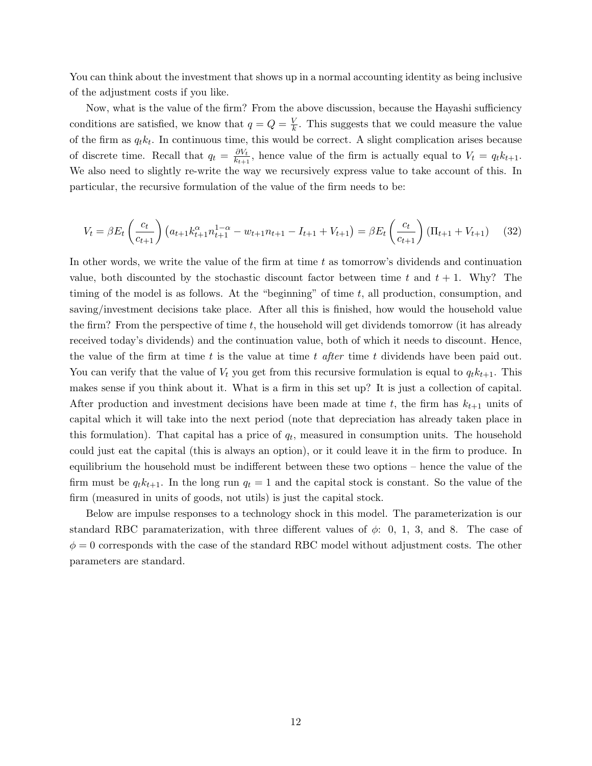You can think about the investment that shows up in a normal accounting identity as being inclusive of the adjustment costs if you like.

Now, what is the value of the firm? From the above discussion, because the Hayashi sufficiency conditions are satisfied, we know that  $q = Q = \frac{V}{k}$  $\frac{V}{k}$ . This suggests that we could measure the value of the firm as  $q_t k_t$ . In continuous time, this would be correct. A slight complication arises because of discrete time. Recall that  $q_t = \frac{\partial V_t}{\partial x_{t+1}}$  $\frac{\partial V_t}{\partial k_{t+1}}$ , hence value of the firm is actually equal to  $V_t = q_t k_{t+1}$ . We also need to slightly re-write the way we recursively express value to take account of this. In particular, the recursive formulation of the value of the firm needs to be:

$$
V_t = \beta E_t \left(\frac{c_t}{c_{t+1}}\right) \left(a_{t+1} k_{t+1}^{\alpha} n_{t+1}^{1-\alpha} - w_{t+1} n_{t+1} - I_{t+1} + V_{t+1}\right) = \beta E_t \left(\frac{c_t}{c_{t+1}}\right) \left(\Pi_{t+1} + V_{t+1}\right) \tag{32}
$$

In other words, we write the value of the firm at time  $t$  as tomorrow's dividends and continuation value, both discounted by the stochastic discount factor between time t and  $t + 1$ . Why? The timing of the model is as follows. At the "beginning" of time  $t$ , all production, consumption, and saving/investment decisions take place. After all this is finished, how would the household value the firm? From the perspective of time t, the household will get dividends tomorrow (it has already received today's dividends) and the continuation value, both of which it needs to discount. Hence, the value of the firm at time t is the value at time t after time t dividends have been paid out. You can verify that the value of  $V_t$  you get from this recursive formulation is equal to  $q_t k_{t+1}$ . This makes sense if you think about it. What is a firm in this set up? It is just a collection of capital. After production and investment decisions have been made at time t, the firm has  $k_{t+1}$  units of capital which it will take into the next period (note that depreciation has already taken place in this formulation). That capital has a price of  $q_t$ , measured in consumption units. The household could just eat the capital (this is always an option), or it could leave it in the firm to produce. In equilibrium the household must be indifferent between these two options – hence the value of the firm must be  $q_t k_{t+1}$ . In the long run  $q_t = 1$  and the capital stock is constant. So the value of the firm (measured in units of goods, not utils) is just the capital stock.

Below are impulse responses to a technology shock in this model. The parameterization is our standard RBC paramaterization, with three different values of  $\phi$ : 0, 1, 3, and 8. The case of  $\phi = 0$  corresponds with the case of the standard RBC model without adjustment costs. The other parameters are standard.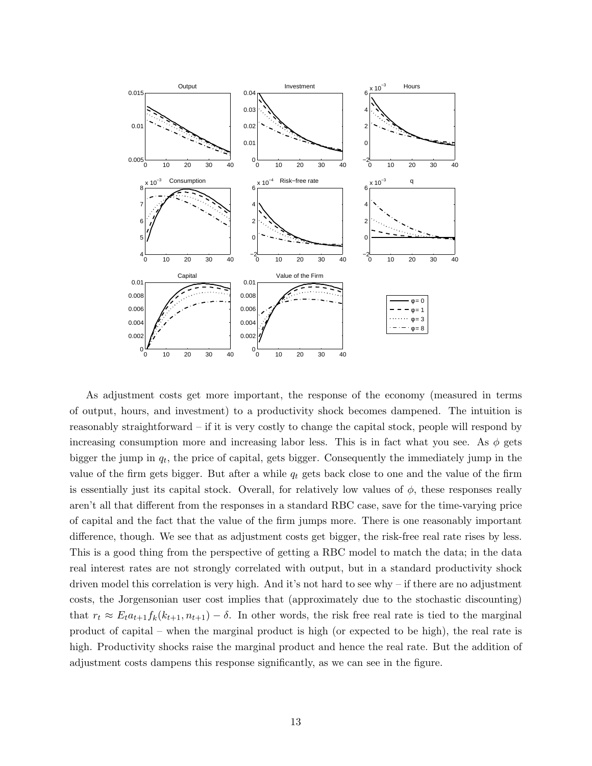

As adjustment costs get more important, the response of the economy (measured in terms of output, hours, and investment) to a productivity shock becomes dampened. The intuition is reasonably straightforward – if it is very costly to change the capital stock, people will respond by increasing consumption more and increasing labor less. This is in fact what you see. As  $\phi$  gets bigger the jump in  $q_t$ , the price of capital, gets bigger. Consequently the immediately jump in the value of the firm gets bigger. But after a while  $q_t$  gets back close to one and the value of the firm is essentially just its capital stock. Overall, for relatively low values of  $\phi$ , these responses really aren't all that different from the responses in a standard RBC case, save for the time-varying price of capital and the fact that the value of the firm jumps more. There is one reasonably important difference, though. We see that as adjustment costs get bigger, the risk-free real rate rises by less. This is a good thing from the perspective of getting a RBC model to match the data; in the data real interest rates are not strongly correlated with output, but in a standard productivity shock driven model this correlation is very high. And it's not hard to see why – if there are no adjustment costs, the Jorgensonian user cost implies that (approximately due to the stochastic discounting) that  $r_t \approx E_t a_{t+1} f_k(k_{t+1}, n_{t+1}) - \delta$ . In other words, the risk free real rate is tied to the marginal product of capital – when the marginal product is high (or expected to be high), the real rate is high. Productivity shocks raise the marginal product and hence the real rate. But the addition of adjustment costs dampens this response significantly, as we can see in the figure.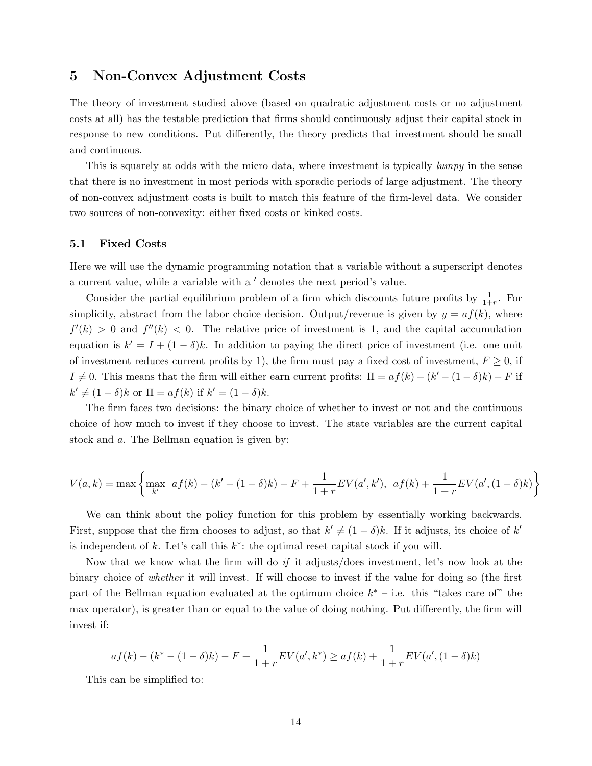## 5 Non-Convex Adjustment Costs

The theory of investment studied above (based on quadratic adjustment costs or no adjustment costs at all) has the testable prediction that firms should continuously adjust their capital stock in response to new conditions. Put differently, the theory predicts that investment should be small and continuous.

This is squarely at odds with the micro data, where investment is typically *lumpy* in the sense that there is no investment in most periods with sporadic periods of large adjustment. The theory of non-convex adjustment costs is built to match this feature of the firm-level data. We consider two sources of non-convexity: either fixed costs or kinked costs.

#### 5.1 Fixed Costs

Here we will use the dynamic programming notation that a variable without a superscript denotes a current value, while a variable with a  $\prime$  denotes the next period's value.

Consider the partial equilibrium problem of a firm which discounts future profits by  $\frac{1}{1+r}$ . For simplicity, abstract from the labor choice decision. Output/revenue is given by  $y = af(k)$ , where  $f'(k) > 0$  and  $f''(k) < 0$ . The relative price of investment is 1, and the capital accumulation equation is  $k' = I + (1 - \delta)k$ . In addition to paying the direct price of investment (i.e. one unit of investment reduces current profits by 1), the firm must pay a fixed cost of investment,  $F \geq 0$ , if  $I \neq 0$ . This means that the firm will either earn current profits:  $\Pi = af(k) - (k' - (1 - \delta)k) - F$  if  $k' \neq (1 - \delta)k$  or  $\Pi = af(k)$  if  $k' = (1 - \delta)k$ .

The firm faces two decisions: the binary choice of whether to invest or not and the continuous choice of how much to invest if they choose to invest. The state variables are the current capital stock and a. The Bellman equation is given by:

$$
V(a,k) = \max \left\{ \max_{k'} \ a f(k) - (k' - (1 - \delta)k) - F + \frac{1}{1+r} EV(a',k'), \ a f(k) + \frac{1}{1+r} EV(a',(1 - \delta)k) \right\}
$$

We can think about the policy function for this problem by essentially working backwards. First, suppose that the firm chooses to adjust, so that  $k' \neq (1 - \delta)k$ . If it adjusts, its choice of k' is independent of  $k$ . Let's call this  $k^*$ : the optimal reset capital stock if you will.

Now that we know what the firm will do if it adjusts/does investment, let's now look at the binary choice of whether it will invest. If will choose to invest if the value for doing so (the first part of the Bellman equation evaluated at the optimum choice  $k^*$  – i.e. this "takes care of" the max operator), is greater than or equal to the value of doing nothing. Put differently, the firm will invest if:

$$
af(k) - (k^* - (1 - \delta)k) - F + \frac{1}{1+r}EV(a', k^*) \ge af(k) + \frac{1}{1+r}EV(a', (1 - \delta)k)
$$

This can be simplified to: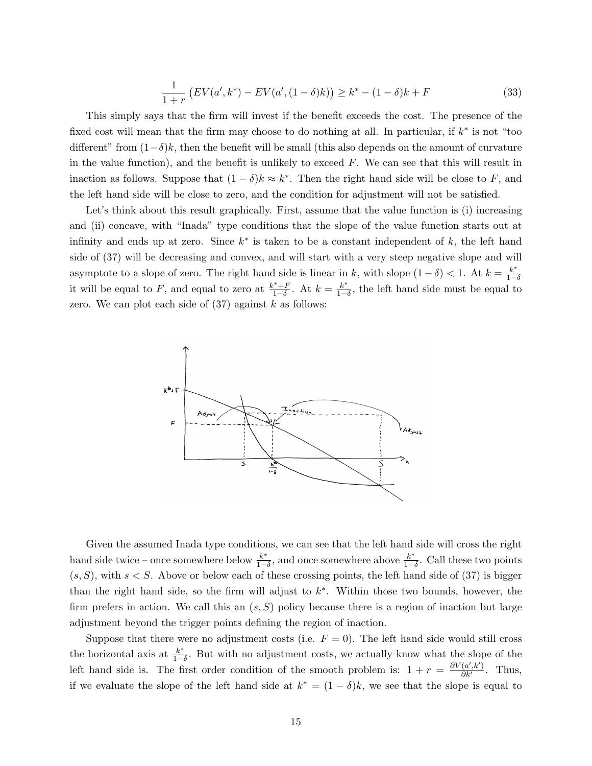$$
\frac{1}{1+r} \left( EV(a', k^*) - EV(a', (1-\delta)k) \right) \ge k^* - (1-\delta)k + F \tag{33}
$$

This simply says that the firm will invest if the benefit exceeds the cost. The presence of the fixed cost will mean that the firm may choose to do nothing at all. In particular, if  $k^*$  is not "too different" from  $(1-\delta)k$ , then the benefit will be small (this also depends on the amount of curvature in the value function), and the benefit is unlikely to exceed  $F$ . We can see that this will result in inaction as follows. Suppose that  $(1 - \delta)k \approx k^*$ . Then the right hand side will be close to F, and the left hand side will be close to zero, and the condition for adjustment will not be satisfied.

Let's think about this result graphically. First, assume that the value function is (i) increasing and (ii) concave, with "Inada" type conditions that the slope of the value function starts out at infinity and ends up at zero. Since  $k^*$  is taken to be a constant independent of k, the left hand side of (37) will be decreasing and convex, and will start with a very steep negative slope and will asymptote to a slope of zero. The right hand side is linear in k, with slope  $(1 - \delta) < 1$ . At  $k = \frac{k^*}{1 - \delta}$  $1-\delta$ it will be equal to F, and equal to zero at  $\frac{k^* + F}{1-\delta}$  $\frac{k^* + F}{1 - \delta}$ . At  $k = \frac{k^*}{1 - \delta}$  $\frac{k^*}{1-\delta}$ , the left hand side must be equal to zero. We can plot each side of  $(37)$  against k as follows:



Given the assumed Inada type conditions, we can see that the left hand side will cross the right hand side twice – once somewhere below  $\frac{k^*}{1-k}$  $\frac{k^*}{1-\delta}$ , and once somewhere above  $\frac{k^*}{1-\delta}$  $\frac{k^*}{1-\delta}$ . Call these two points  $(s, S)$ , with  $s < S$ . Above or below each of these crossing points, the left hand side of (37) is bigger than the right hand side, so the firm will adjust to  $k^*$ . Within those two bounds, however, the firm prefers in action. We call this an  $(s, S)$  policy because there is a region of inaction but large adjustment beyond the trigger points defining the region of inaction.

Suppose that there were no adjustment costs (i.e.  $F = 0$ ). The left hand side would still cross the horizontal axis at  $\frac{k^*}{1-k^*}$  $\frac{k^*}{1-\delta}$ . But with no adjustment costs, we actually know what the slope of the left hand side is. The first order condition of the smooth problem is:  $1 + r = \frac{\partial V(a', k')}{\partial k'}$ . Thus, if we evaluate the slope of the left hand side at  $k^* = (1 - \delta)k$ , we see that the slope is equal to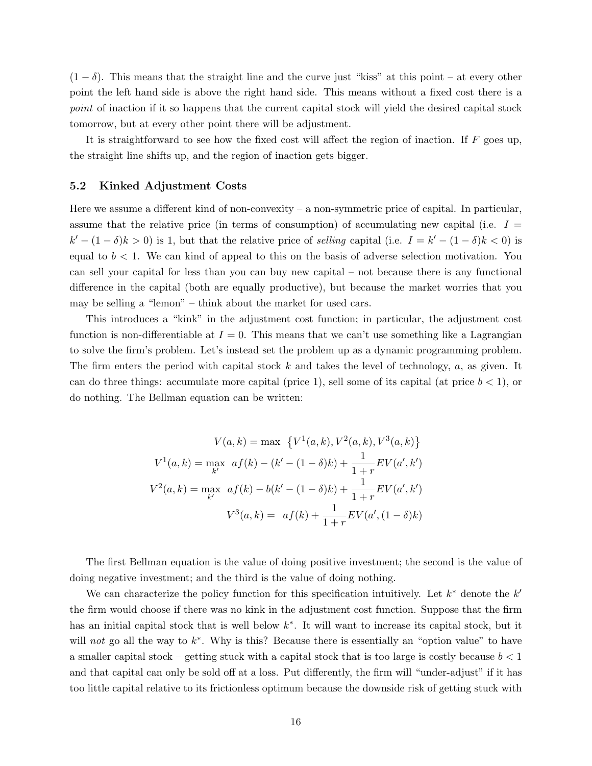$(1 - \delta)$ . This means that the straight line and the curve just "kiss" at this point – at every other point the left hand side is above the right hand side. This means without a fixed cost there is a point of inaction if it so happens that the current capital stock will yield the desired capital stock tomorrow, but at every other point there will be adjustment.

It is straightforward to see how the fixed cost will affect the region of inaction. If  $F$  goes up, the straight line shifts up, and the region of inaction gets bigger.

#### 5.2 Kinked Adjustment Costs

Here we assume a different kind of non-convexity – a non-symmetric price of capital. In particular, assume that the relative price (in terms of consumption) of accumulating new capital (i.e.  $I =$  $k' - (1 - \delta)k > 0$  is 1, but that the relative price of selling capital (i.e.  $I = k' - (1 - \delta)k < 0$ ) is equal to  $b < 1$ . We can kind of appeal to this on the basis of adverse selection motivation. You can sell your capital for less than you can buy new capital – not because there is any functional difference in the capital (both are equally productive), but because the market worries that you may be selling a "lemon" – think about the market for used cars.

This introduces a "kink" in the adjustment cost function; in particular, the adjustment cost function is non-differentiable at  $I = 0$ . This means that we can't use something like a Lagrangian to solve the firm's problem. Let's instead set the problem up as a dynamic programming problem. The firm enters the period with capital stock  $k$  and takes the level of technology,  $a$ , as given. It can do three things: accumulate more capital (price 1), sell some of its capital (at price  $b < 1$ ), or do nothing. The Bellman equation can be written:

$$
V(a,k) = \max \{ V^1(a,k), V^2(a,k), V^3(a,k) \}
$$

$$
V^1(a,k) = \max_{k'} af(k) - (k' - (1 - \delta)k) + \frac{1}{1+r} EV(a',k')
$$

$$
V^2(a,k) = \max_{k'} af(k) - b(k' - (1 - \delta)k) + \frac{1}{1+r} EV(a',k')
$$

$$
V^3(a,k) = af(k) + \frac{1}{1+r} EV(a', (1 - \delta)k)
$$

The first Bellman equation is the value of doing positive investment; the second is the value of doing negative investment; and the third is the value of doing nothing.

We can characterize the policy function for this specification intuitively. Let  $k^*$  denote the  $k'$ the firm would choose if there was no kink in the adjustment cost function. Suppose that the firm has an initial capital stock that is well below  $k^*$ . It will want to increase its capital stock, but it will not go all the way to  $k^*$ . Why is this? Because there is essentially an "option value" to have a smaller capital stock – getting stuck with a capital stock that is too large is costly because  $b < 1$ and that capital can only be sold off at a loss. Put differently, the firm will "under-adjust" if it has too little capital relative to its frictionless optimum because the downside risk of getting stuck with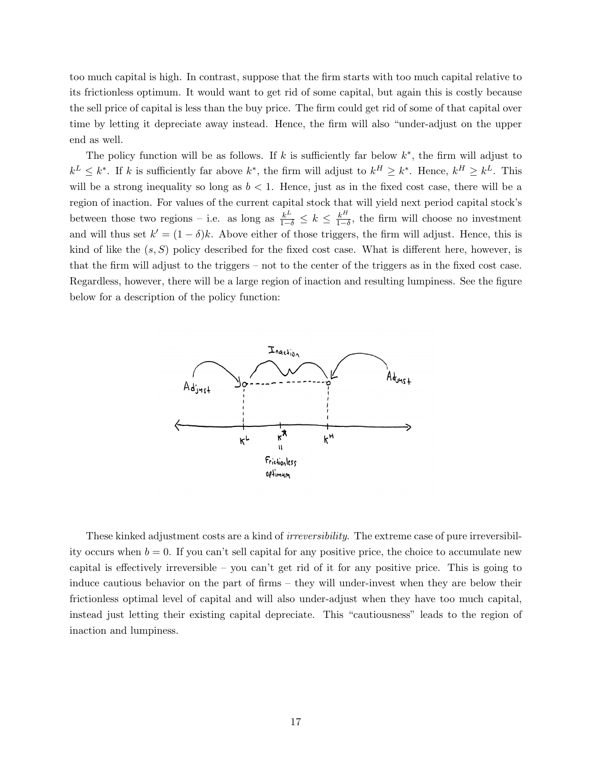too much capital is high. In contrast, suppose that the firm starts with too much capital relative to its frictionless optimum. It would want to get rid of some capital, but again this is costly because the sell price of capital is less than the buy price. The firm could get rid of some of that capital over time by letting it depreciate away instead. Hence, the firm will also "under-adjust on the upper end as well.

The policy function will be as follows. If k is sufficiently far below  $k^*$ , the firm will adjust to  $k^L \leq k^*$ . If k is sufficiently far above  $k^*$ , the firm will adjust to  $k^H \geq k^*$ . Hence,  $k^H \geq k^L$ . This will be a strong inequality so long as  $b < 1$ . Hence, just as in the fixed cost case, there will be a region of inaction. For values of the current capital stock that will yield next period capital stock's between those two regions – i.e. as long as  $\frac{k^L}{1-\delta} \leq k \leq \frac{k^H}{1-\delta}$  $\frac{k^{\prime\prime}}{1-\delta}$ , the firm will choose no investment and will thus set  $k' = (1 - \delta)k$ . Above either of those triggers, the firm will adjust. Hence, this is kind of like the  $(s, S)$  policy described for the fixed cost case. What is different here, however, is that the firm will adjust to the triggers – not to the center of the triggers as in the fixed cost case. Regardless, however, there will be a large region of inaction and resulting lumpiness. See the figure below for a description of the policy function:



These kinked adjustment costs are a kind of irreversibility. The extreme case of pure irreversibility occurs when  $b = 0$ . If you can't sell capital for any positive price, the choice to accumulate new capital is effectively irreversible – you can't get rid of it for any positive price. This is going to induce cautious behavior on the part of firms – they will under-invest when they are below their frictionless optimal level of capital and will also under-adjust when they have too much capital, instead just letting their existing capital depreciate. This "cautiousness" leads to the region of inaction and lumpiness.